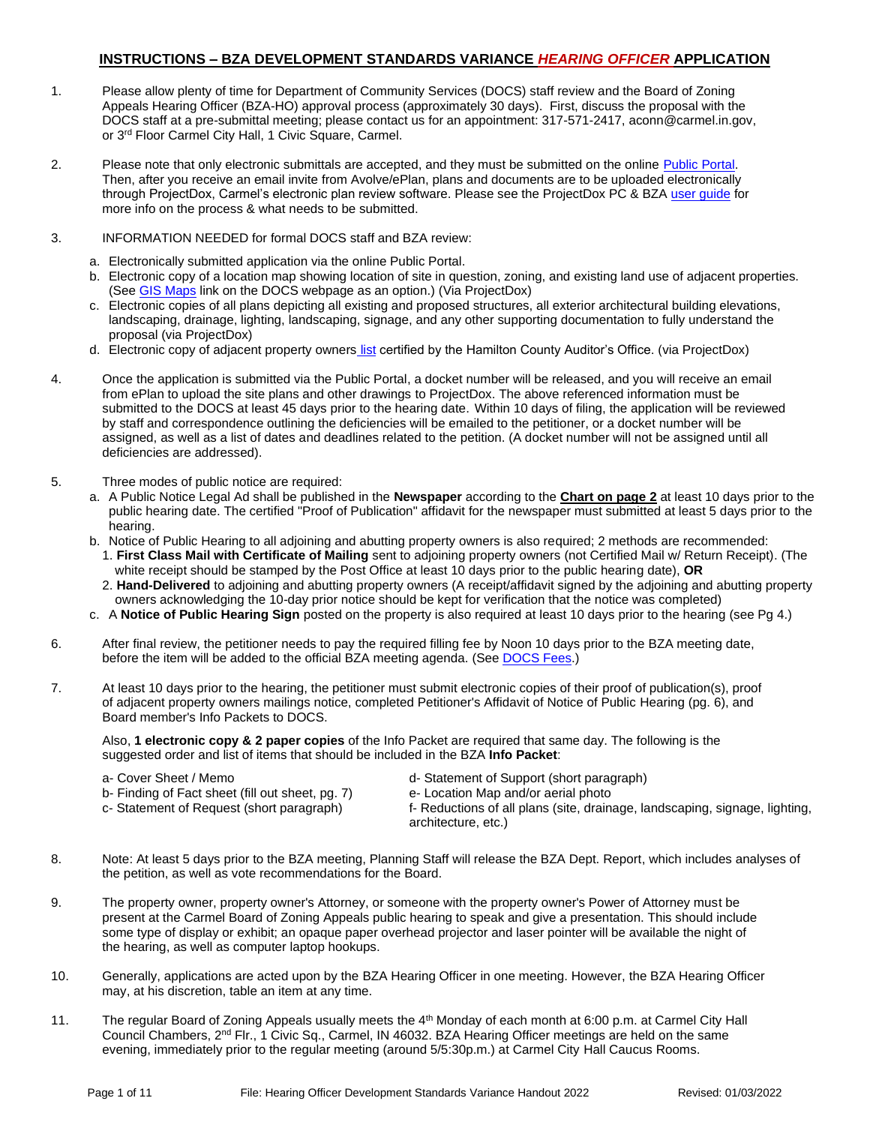### **INSTRUCTIONS – BZA DEVELOPMENT STANDARDS VARIANCE** *HEARING OFFICER* **APPLICATION**

- 1. Please allow plenty of time for Department of Community Services (DOCS) staff review and the Board of Zoning Appeals Hearing Officer (BZA-HO) approval process (approximately 30 days). First, discuss the proposal with the DOCS staff at a pre-submittal meeting; please contact us for an appointment: 317-571-2417, aconn@carmel.in.gov, or 3<sup>rd</sup> Floor Carmel City Hall, 1 Civic Square, Carmel.
- 2. Please note that only electronic submittals are accepted, and they must be submitted on the online Public Portal. Then, after you receive an email invite from Avolve/ePlan, plans and documents are to be uploaded electronically through ProjectDox, Carmel's electronic plan review software. Please see the ProjectDox PC & BZA user quide for more info on the process & what needs to be submitted.
- 3. INFORMATION NEEDED for formal DOCS staff and BZA review:
	- a. Electronically submitted application via the online Public Portal.
	- b. Electronic copy of a location map showing location of site in question, zoning, and existing land use of adjacent properties. (See [GIS Maps](https://carmelgis.carmel.in.gov/maps/apps/webappviewer/index.html?id=3005d15bb8ee47c48538605fa421a359&extent=-9600433.8691%2C4865462.0861%2C-9599860.5914%2C4865778.5832%2C102100) link on the DOCS webpage as an option.) (Via ProjectDox)
	- c. Electronic copies of all plans depicting all existing and proposed structures, all exterior architectural building elevations, landscaping, drainage, lighting, landscaping, signage, and any other supporting documentation to fully understand the proposal (via ProjectDox)
	- d. Electronic copy of adjacent property owners [list](https://www.hamiltoncounty.in.gov/369/Adjoiner-Property-Notifications) certified by the Hamilton County Auditor's Office. (via ProjectDox)
- 4. Once the application is submitted via the Public Portal, a docket number will be released, and you will receive an email from ePlan to upload the site plans and other drawings to ProjectDox. The above referenced information must be submitted to the DOCS at least 45 days prior to the hearing date. Within 10 days of filing, the application will be reviewed by staff and correspondence outlining the deficiencies will be emailed to the petitioner, or a docket number will be assigned, as well as a list of dates and deadlines related to the petition. (A docket number will not be assigned until all deficiencies are addressed).
- 5. Three modes of public notice are required:
	- a. A Public Notice Legal Ad shall be published in the **Newspaper** according to the **Chart on page 2** at least 10 days prior to the public hearing date. The certified "Proof of Publication" affidavit for the newspaper must submitted at least 5 days prior to the hearing.
	- b. Notice of Public Hearing to all adjoining and abutting property owners is also required; 2 methods are recommended: 1. **First Class Mail with Certificate of Mailing** sent to adjoining property owners (not Certified Mail w/ Return Receipt). (The
		- white receipt should be stamped by the Post Office at least 10 days prior to the public hearing date), **OR** 2. **Hand-Delivered** to adjoining and abutting property owners (A receipt/affidavit signed by the adjoining and abutting property owners acknowledging the 10-day prior notice should be kept for verification that the notice was completed)
	- c. A **Notice of Public Hearing Sign** posted on the property is also required at least 10 days prior to the hearing (see Pg 4.)
- 6. After final review, the petitioner needs to pay the required filling fee by Noon 10 days prior to the BZA meeting date, before the item will be added to the official BZA meeting agenda. (Se[e DOCS Fees.](https://www.carmel.in.gov/department-services/community-services-planning-and-zoning-/applications-fees-and-permits))
- 7. At least 10 days prior to the hearing, the petitioner must submit electronic copies of their proof of publication(s), proof of adjacent property owners mailings notice, completed Petitioner's Affidavit of Notice of Public Hearing (pg. 6), and Board member's Info Packets to DOCS.

Also, **1 electronic copy & 2 paper copies** of the Info Packet are required that same day. The following is the suggested order and list of items that should be included in the BZA **Info Packet**:

- 
- b- Finding of Fact sheet (fill out sheet, pg. 7) e- Location Map and/or aerial photo
- 
- a- Cover Sheet / Memo d- Statement of Support (short paragraph)
	-
- 
- c- Statement of Request (short paragraph) f- Reductions of all plans (site, drainage, landscaping, signage, lighting, architecture, etc.)
- 8. Note: At least 5 days prior to the BZA meeting, Planning Staff will release the BZA Dept. Report, which includes analyses of the petition, as well as vote recommendations for the Board.
- 9. The property owner, property owner's Attorney, or someone with the property owner's Power of Attorney must be present at the Carmel Board of Zoning Appeals public hearing to speak and give a presentation. This should include some type of display or exhibit; an opaque paper overhead projector and laser pointer will be available the night of the hearing, as well as computer laptop hookups.
- 10. Generally, applications are acted upon by the BZA Hearing Officer in one meeting. However, the BZA Hearing Officer may, at his discretion, table an item at any time.
- 11. The regular Board of Zoning Appeals usually meets the 4th Monday of each month at 6:00 p.m. at Carmel City Hall Council Chambers, 2nd Flr., 1 Civic Sq., Carmel, IN 46032. BZA Hearing Officer meetings are held on the same evening, immediately prior to the regular meeting (around 5/5:30p.m.) at Carmel City Hall Caucus Rooms.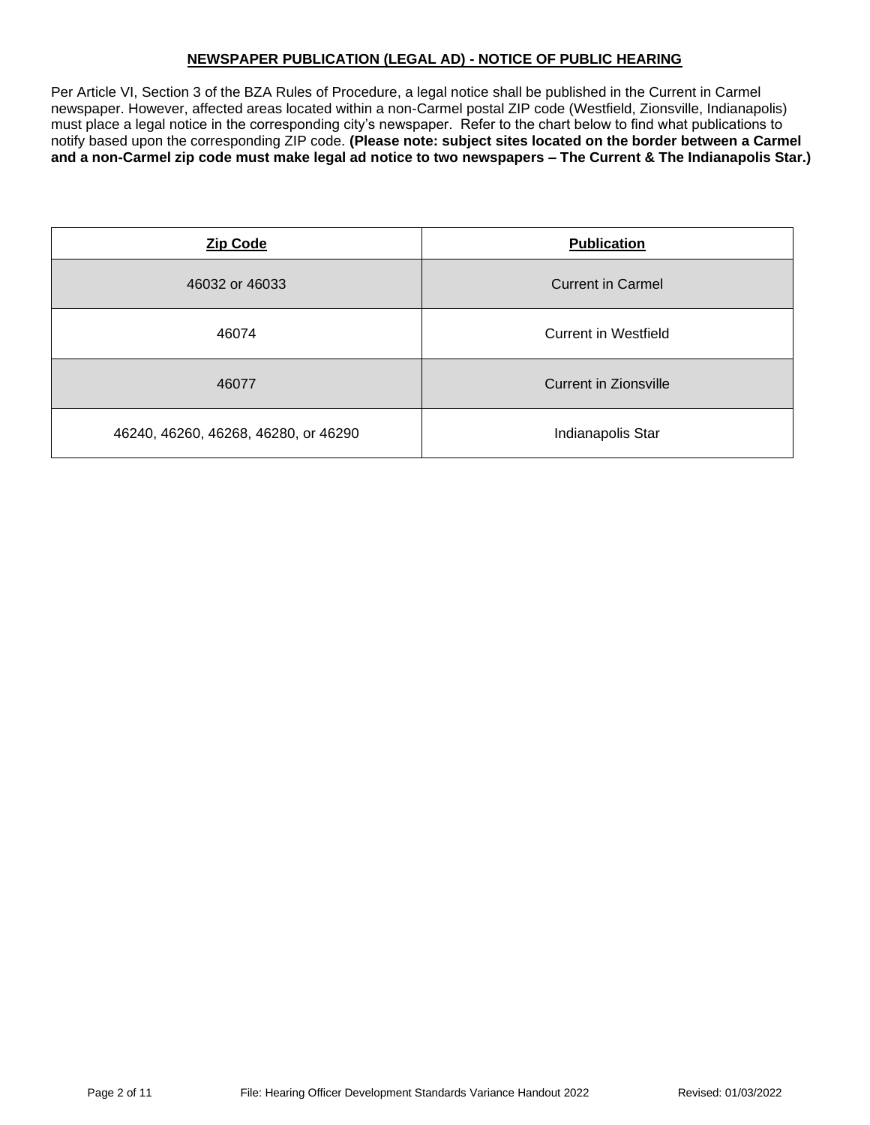## **NEWSPAPER PUBLICATION (LEGAL AD) - NOTICE OF PUBLIC HEARING**

Per Article VI, Section 3 of the BZA Rules of Procedure, a legal notice shall be published in the Current in Carmel newspaper. However, affected areas located within a non-Carmel postal ZIP code (Westfield, Zionsville, Indianapolis) must place a legal notice in the corresponding city's newspaper. Refer to the chart below to find what publications to notify based upon the corresponding ZIP code. **(Please note: subject sites located on the border between a Carmel and a non-Carmel zip code must make legal ad notice to two newspapers – The Current & The Indianapolis Star.)**

| <b>Zip Code</b>                      | <b>Publication</b>       |
|--------------------------------------|--------------------------|
| 46032 or 46033                       | <b>Current in Carmel</b> |
| 46074                                | Current in Westfield     |
| 46077                                | Current in Zionsville    |
| 46240, 46260, 46268, 46280, or 46290 | Indianapolis Star        |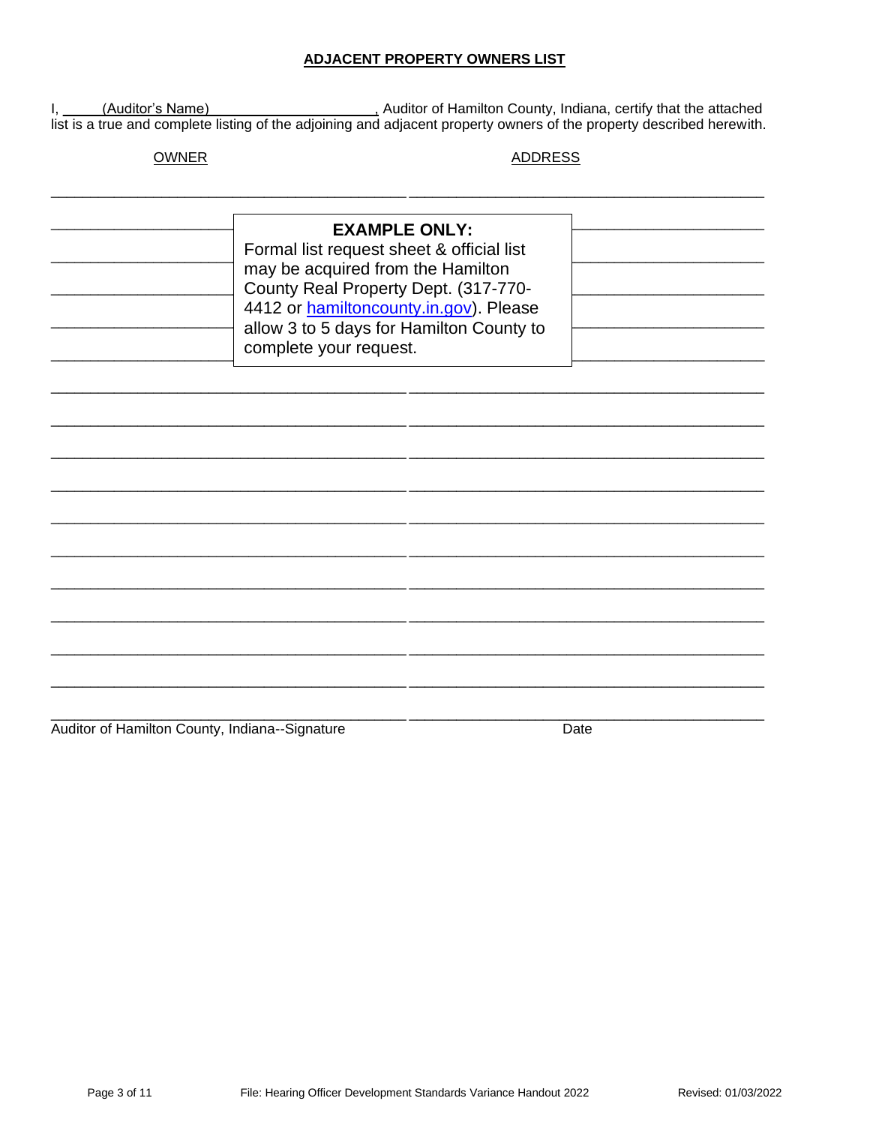### **ADJACENT PROPERTY OWNERS LIST**

I, (Auditor's Name) (Auditor of Hamilton County, Indiana, certify that the attached list is a true and complete listing of the adjoining and adjacent property owners of the property described herewith.

**OWNER** 

#### **ADDRESS**

| <b>EXAMPLE ONLY:</b><br>Formal list request sheet & official list<br>may be acquired from the Hamilton<br>County Real Property Dept. (317-770-<br>4412 or hamiltoncounty.in.gov). Please<br>allow 3 to 5 days for Hamilton County to<br>complete your request. |  |  |
|----------------------------------------------------------------------------------------------------------------------------------------------------------------------------------------------------------------------------------------------------------------|--|--|
|                                                                                                                                                                                                                                                                |  |  |
|                                                                                                                                                                                                                                                                |  |  |
|                                                                                                                                                                                                                                                                |  |  |

Auditor of Hamilton County, Indiana--Signature

Date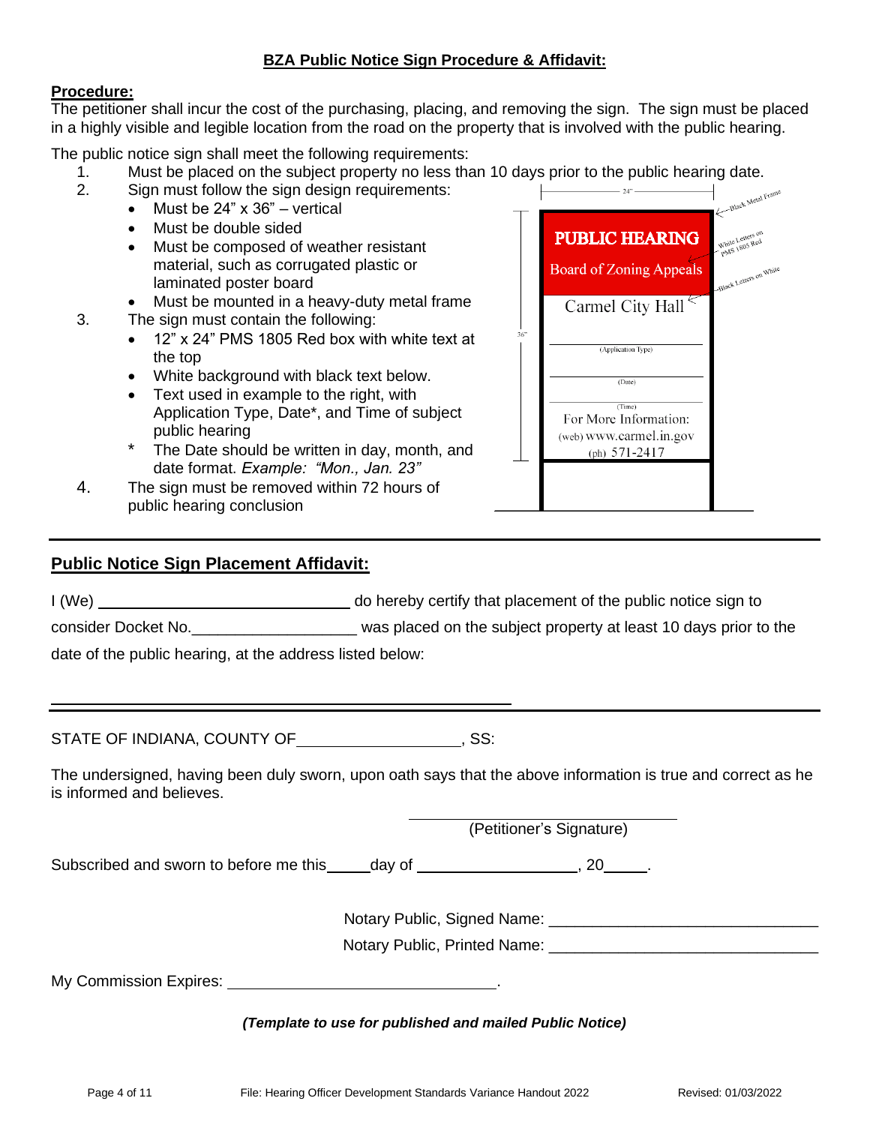## **BZA Public Notice Sign Procedure & Affidavit:**

## **Procedure:**

The petitioner shall incur the cost of the purchasing, placing, and removing the sign. The sign must be placed in a highly visible and legible location from the road on the property that is involved with the public hearing.

The public notice sign shall meet the following requirements:

- 1. Must be placed on the subject property no less than 10 days prior to the public hearing date.<br>2. Sign must follow the sign design requirements:
- 2. Sign must follow the sign design requirements:
	- Must be 24" x 36" vertical
	- Must be double sided
	- Must be composed of weather resistant material, such as corrugated plastic or laminated poster board
	- Must be mounted in a heavy-duty metal frame
- 3. The sign must contain the following:
	- 12" x 24" PMS 1805 Red box with white text at the top
	- White background with black text below.
	- Text used in example to the right, with Application Type, Date\*, and Time of subject public hearing
	- The Date should be written in day, month, and date format. *Example: "Mon., Jan. 23"*
- 4. The sign must be removed within 72 hours of public hearing conclusion

## **Public Notice Sign Placement Affidavit:**

I (We) do hereby certify that placement of the public notice sign to

consider Docket No.\_\_\_\_\_\_\_\_\_\_\_\_\_\_\_\_\_\_\_ was placed on the subject property at least 10 days prior to the

date of the public hearing, at the address listed below:

STATE OF INDIANA, COUNTY OF **COUNTY OF STATE**, SS:

The undersigned, having been duly sworn, upon oath says that the above information is true and correct as he is informed and believes.

(Petitioner's Signature)

Subscribed and sworn to before me this day of  $\sim$ , 20  $\sim$ .

Notary Public, Signed Name: \_\_\_\_\_\_\_\_\_\_\_\_\_\_\_\_\_\_\_\_\_\_\_\_\_\_\_\_\_\_\_

Notary Public, Printed Name:

My Commission Expires: .

*(Template to use for published and mailed Public Notice)*



**PUBLIC HEARING** 

**Board of Zoning Appeals** 

Black Letters on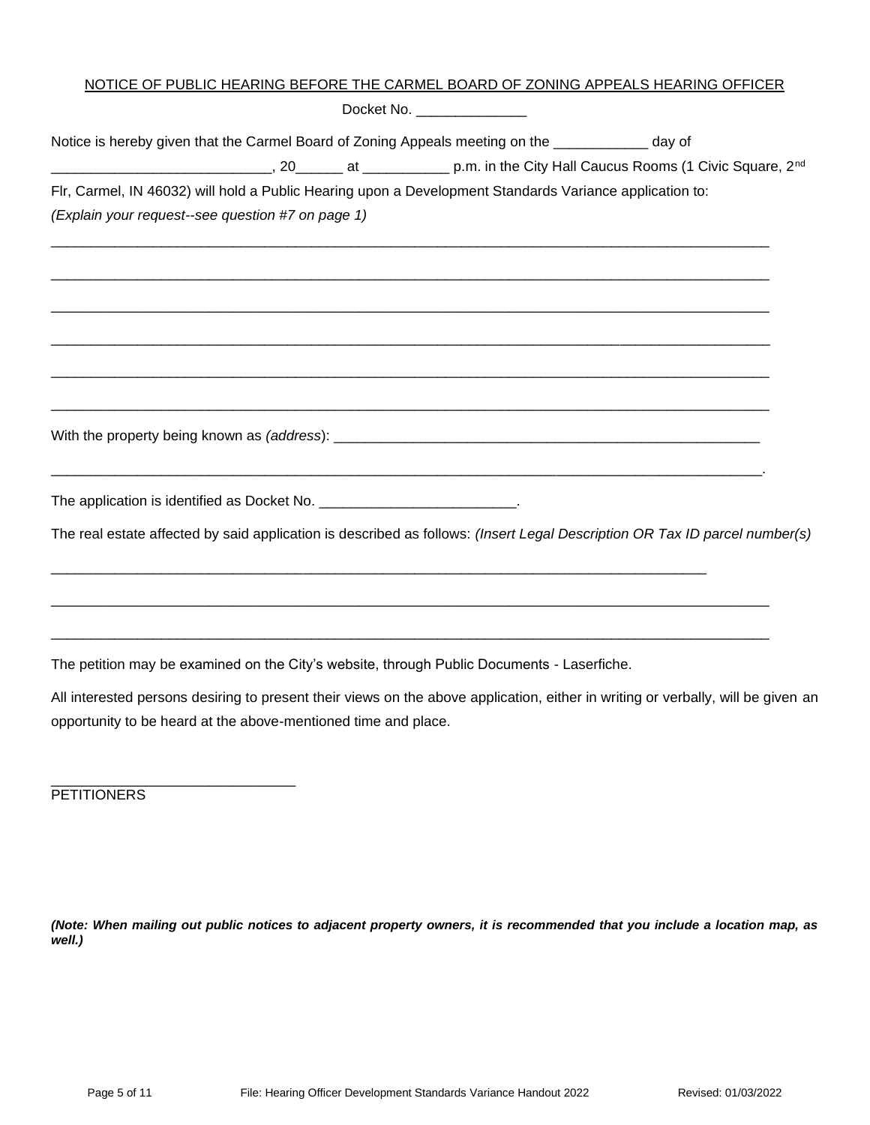| NOTICE OF PUBLIC HEARING BEFORE THE CARMEL BOARD OF ZONING APPEALS HEARING OFFICER                                                                                                                                                       |  |                             |  |  |
|------------------------------------------------------------------------------------------------------------------------------------------------------------------------------------------------------------------------------------------|--|-----------------------------|--|--|
|                                                                                                                                                                                                                                          |  | Docket No. ________________ |  |  |
| Notice is hereby given that the Carmel Board of Zoning Appeals meeting on the ____________ day of                                                                                                                                        |  |                             |  |  |
| D.m. in the City Hall Caucus Rooms (1 Civic Square, 2 <sup>nd</sup> Cannel 2.1 at 2.1 at 2.1 at 2.1 at 2.1 at 2.1 at 2.1 at 2.1 at 2.1 at 2.1 at 2.1 at 2.1 at 2.1 at 2.1 at 2.1 at 2.1 at 2.1 at 2.1 at 2.1 at 2.1 at 2.1 at 2.1 at 2.1 |  |                             |  |  |
| Flr, Carmel, IN 46032) will hold a Public Hearing upon a Development Standards Variance application to:                                                                                                                                  |  |                             |  |  |
| (Explain your request--see question #7 on page 1)                                                                                                                                                                                        |  |                             |  |  |
|                                                                                                                                                                                                                                          |  |                             |  |  |
|                                                                                                                                                                                                                                          |  |                             |  |  |
|                                                                                                                                                                                                                                          |  |                             |  |  |
|                                                                                                                                                                                                                                          |  |                             |  |  |
|                                                                                                                                                                                                                                          |  |                             |  |  |
|                                                                                                                                                                                                                                          |  |                             |  |  |
|                                                                                                                                                                                                                                          |  |                             |  |  |
|                                                                                                                                                                                                                                          |  |                             |  |  |
| The application is identified as Docket No. __________________________.                                                                                                                                                                  |  |                             |  |  |
| The real estate affected by said application is described as follows: (Insert Legal Description OR Tax ID parcel number(s)                                                                                                               |  |                             |  |  |
|                                                                                                                                                                                                                                          |  |                             |  |  |
|                                                                                                                                                                                                                                          |  |                             |  |  |
| The petition may be examined on the City's website, through Public Documents - Laserfiche.                                                                                                                                               |  |                             |  |  |
| All interested persons desiring to present their views on the above application, either in writing or verbally, will be given an                                                                                                         |  |                             |  |  |
| opportunity to be heard at the above-mentioned time and place.                                                                                                                                                                           |  |                             |  |  |

**PETITIONERS** 

\_\_\_\_\_\_\_\_\_\_\_\_\_\_\_\_\_\_\_\_\_\_\_\_\_\_\_\_\_\_\_

*(Note: When mailing out public notices to adjacent property owners, it is recommended that you include a location map, as well.)*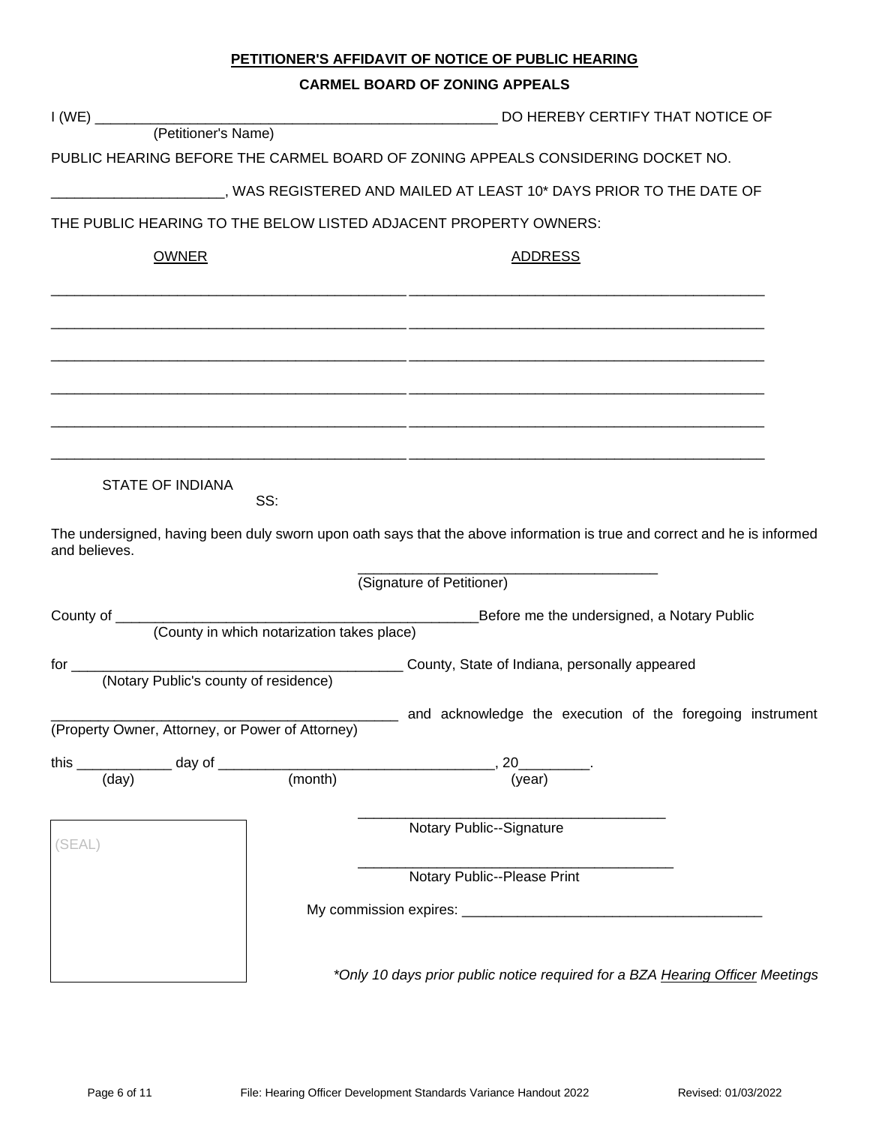# **PETITIONER'S AFFIDAVIT OF NOTICE OF PUBLIC HEARING**

#### **CARMEL BOARD OF ZONING APPEALS**

|                                                    |         | DO HEREBY CERTIFY THAT NOTICE OF                                                                                         |  |
|----------------------------------------------------|---------|--------------------------------------------------------------------------------------------------------------------------|--|
|                                                    |         |                                                                                                                          |  |
|                                                    |         | PUBLIC HEARING BEFORE THE CARMEL BOARD OF ZONING APPEALS CONSIDERING DOCKET NO.                                          |  |
|                                                    |         | _____________________, WAS REGISTERED AND MAILED AT LEAST 10* DAYS PRIOR TO THE DATE OF                                  |  |
|                                                    |         | THE PUBLIC HEARING TO THE BELOW LISTED ADJACENT PROPERTY OWNERS:                                                         |  |
| <b>OWNER</b>                                       |         | <b>ADDRESS</b>                                                                                                           |  |
|                                                    |         |                                                                                                                          |  |
|                                                    |         |                                                                                                                          |  |
|                                                    |         |                                                                                                                          |  |
|                                                    |         |                                                                                                                          |  |
|                                                    |         |                                                                                                                          |  |
|                                                    |         |                                                                                                                          |  |
|                                                    |         |                                                                                                                          |  |
|                                                    |         |                                                                                                                          |  |
| <b>STATE OF INDIANA</b>                            |         |                                                                                                                          |  |
|                                                    | SS:     |                                                                                                                          |  |
| and believes.                                      |         | The undersigned, having been duly sworn upon oath says that the above information is true and correct and he is informed |  |
|                                                    |         | (Signature of Petitioner)                                                                                                |  |
|                                                    |         | Before me the undersigned, a Notary Public                                                                               |  |
|                                                    |         |                                                                                                                          |  |
|                                                    |         |                                                                                                                          |  |
|                                                    |         |                                                                                                                          |  |
| (Property Owner, Attorney, or Power of Attorney)   |         | ____ and acknowledge the execution of the foregoing instrument                                                           |  |
| ________ day of _<br>this $\overline{\phantom{a}}$ |         | 20                                                                                                                       |  |
| (day)                                              | (month) | (year)                                                                                                                   |  |
|                                                    |         |                                                                                                                          |  |
| (SEAL)                                             |         | Notary Public--Signature                                                                                                 |  |
|                                                    |         | Notary Public--Please Print                                                                                              |  |
|                                                    |         |                                                                                                                          |  |
|                                                    |         |                                                                                                                          |  |
|                                                    |         |                                                                                                                          |  |
|                                                    |         | *Only 10 days prior public notice required for a BZA Hearing Officer Meetings                                            |  |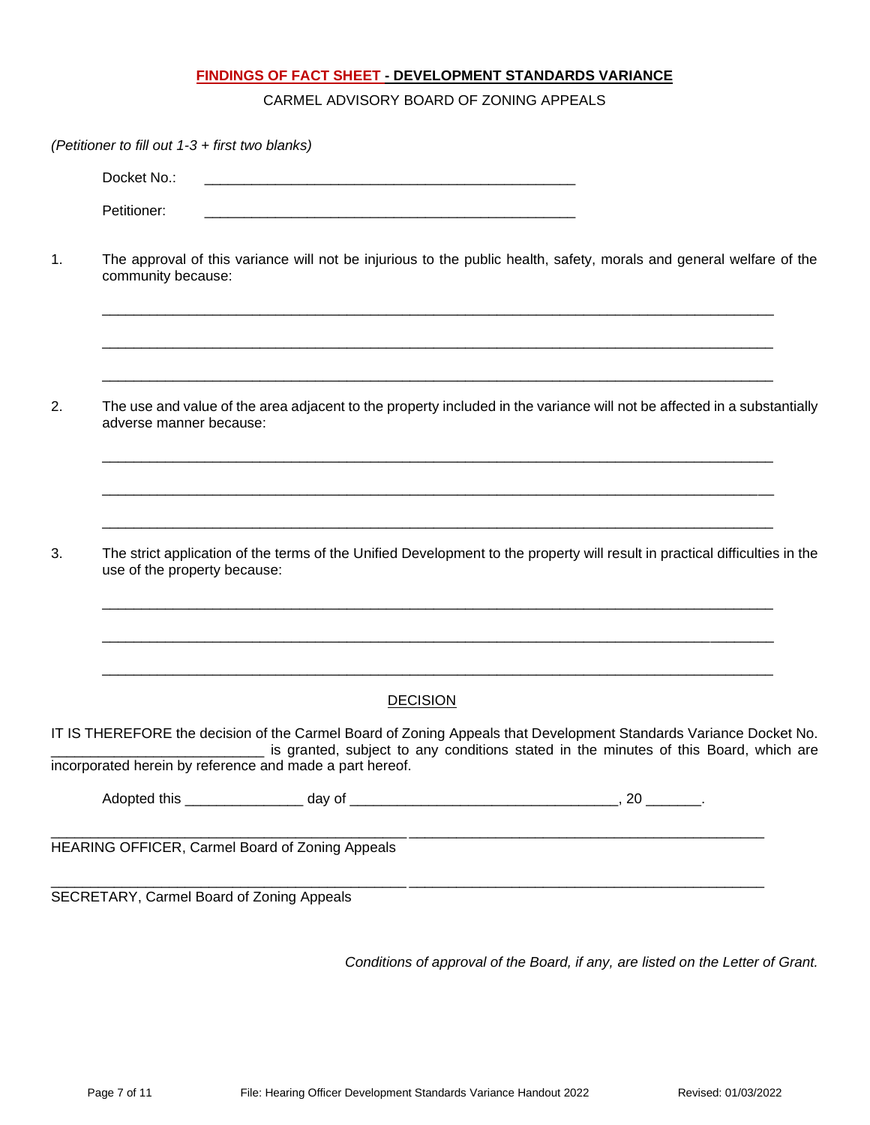## **FINDINGS OF FACT SHEET - DEVELOPMENT STANDARDS VARIANCE**

CARMEL ADVISORY BOARD OF ZONING APPEALS

|    | (Petitioner to fill out 1-3 + first two blanks) |                                                          |                                                                                                                                                                                                           |
|----|-------------------------------------------------|----------------------------------------------------------|-----------------------------------------------------------------------------------------------------------------------------------------------------------------------------------------------------------|
|    | Docket No.:                                     |                                                          |                                                                                                                                                                                                           |
|    | Petitioner:                                     |                                                          |                                                                                                                                                                                                           |
| 1. | community because:                              |                                                          | The approval of this variance will not be injurious to the public health, safety, morals and general welfare of the                                                                                       |
| 2. | adverse manner because:                         |                                                          | The use and value of the area adjacent to the property included in the variance will not be affected in a substantially                                                                                   |
| 3. | use of the property because:                    |                                                          | The strict application of the terms of the Unified Development to the property will result in practical difficulties in the                                                                               |
|    |                                                 |                                                          |                                                                                                                                                                                                           |
|    |                                                 | <b>DECISION</b>                                          |                                                                                                                                                                                                           |
|    |                                                 | incorporated herein by reference and made a part hereof. | IT IS THEREFORE the decision of the Carmel Board of Zoning Appeals that Development Standards Variance Docket No.<br>is granted, subject to any conditions stated in the minutes of this Board, which are |
|    |                                                 |                                                          |                                                                                                                                                                                                           |
|    |                                                 | HEARING OFFICER, Carmel Board of Zoning Appeals          |                                                                                                                                                                                                           |
|    |                                                 | SECRETARY, Carmel Board of Zoning Appeals                |                                                                                                                                                                                                           |

*Conditions of approval of the Board, if any, are listed on the Letter of Grant.*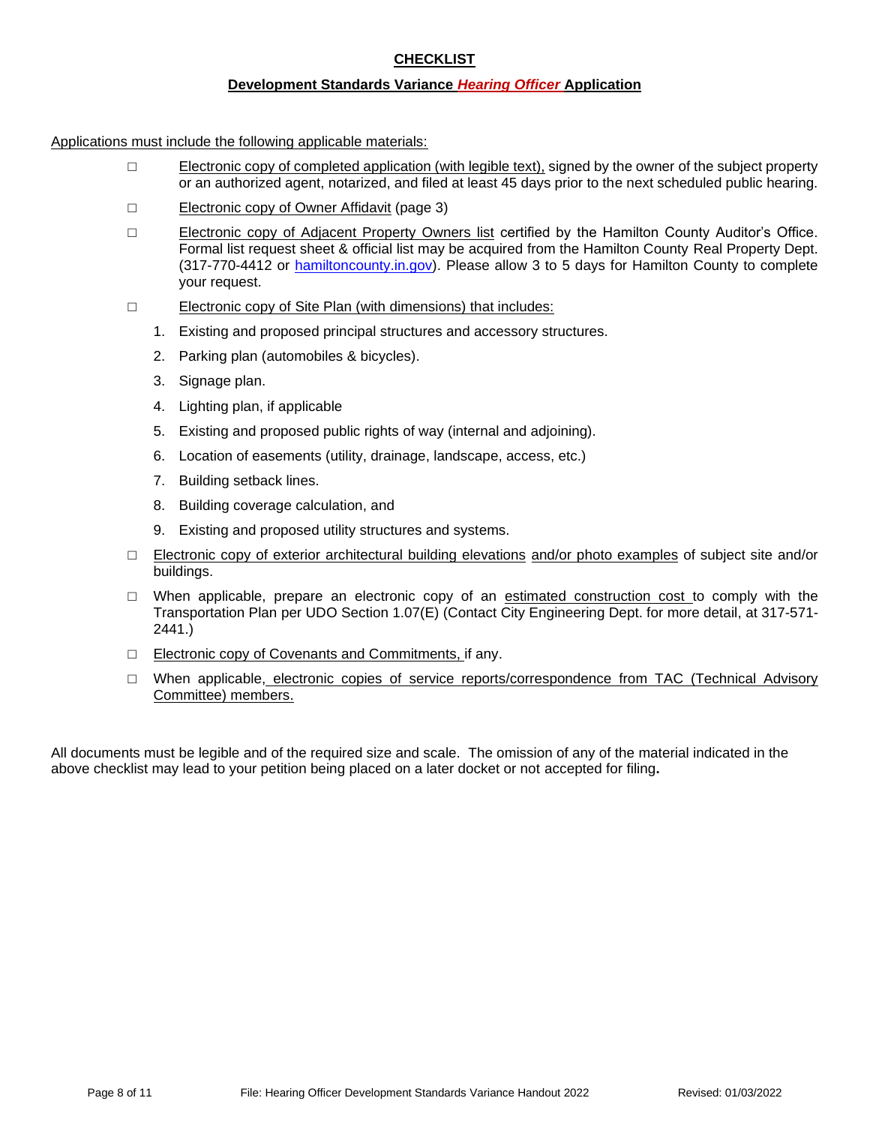## **CHECKLIST**

#### **Development Standards Variance** *Hearing Officer* **Application**

Applications must include the following applicable materials:

- □ Electronic copy of completed application (with legible text), signed by the owner of the subject property or an authorized agent, notarized, and filed at least 45 days prior to the next scheduled public hearing.
- □ Electronic copy of Owner Affidavit (page 3)
- □ Electronic copy of Adjacent Property Owners list certified by the Hamilton County Auditor's Office. Formal list request sheet & official list may be acquired from the Hamilton County Real Property Dept. (317-770-4412 or [hamiltoncounty.in.gov\)](https://www.hamiltoncounty.in.gov/369/Adjoiner-Property-Notifications). Please allow 3 to 5 days for Hamilton County to complete your request.
- □ Electronic copy of Site Plan (with dimensions) that includes:
	- 1. Existing and proposed principal structures and accessory structures.
	- 2. Parking plan (automobiles & bicycles).
	- 3. Signage plan.
	- 4. Lighting plan, if applicable
	- 5. Existing and proposed public rights of way (internal and adjoining).
	- 6. Location of easements (utility, drainage, landscape, access, etc.)
	- 7. Building setback lines.
	- 8. Building coverage calculation, and
	- 9. Existing and proposed utility structures and systems.
- □ Electronic copy of exterior architectural building elevations and/or photo examples of subject site and/or buildings.
- $\Box$  When applicable, prepare an electronic copy of an estimated construction cost to comply with the Transportation Plan per UDO Section 1.07(E) (Contact City Engineering Dept. for more detail, at 317-571- 2441.)
- □ Electronic copy of Covenants and Commitments, if any.
- □ When applicable, electronic copies of service reports/correspondence from TAC (Technical Advisory Committee) members.

All documents must be legible and of the required size and scale. The omission of any of the material indicated in the above checklist may lead to your petition being placed on a later docket or not accepted for filing**.**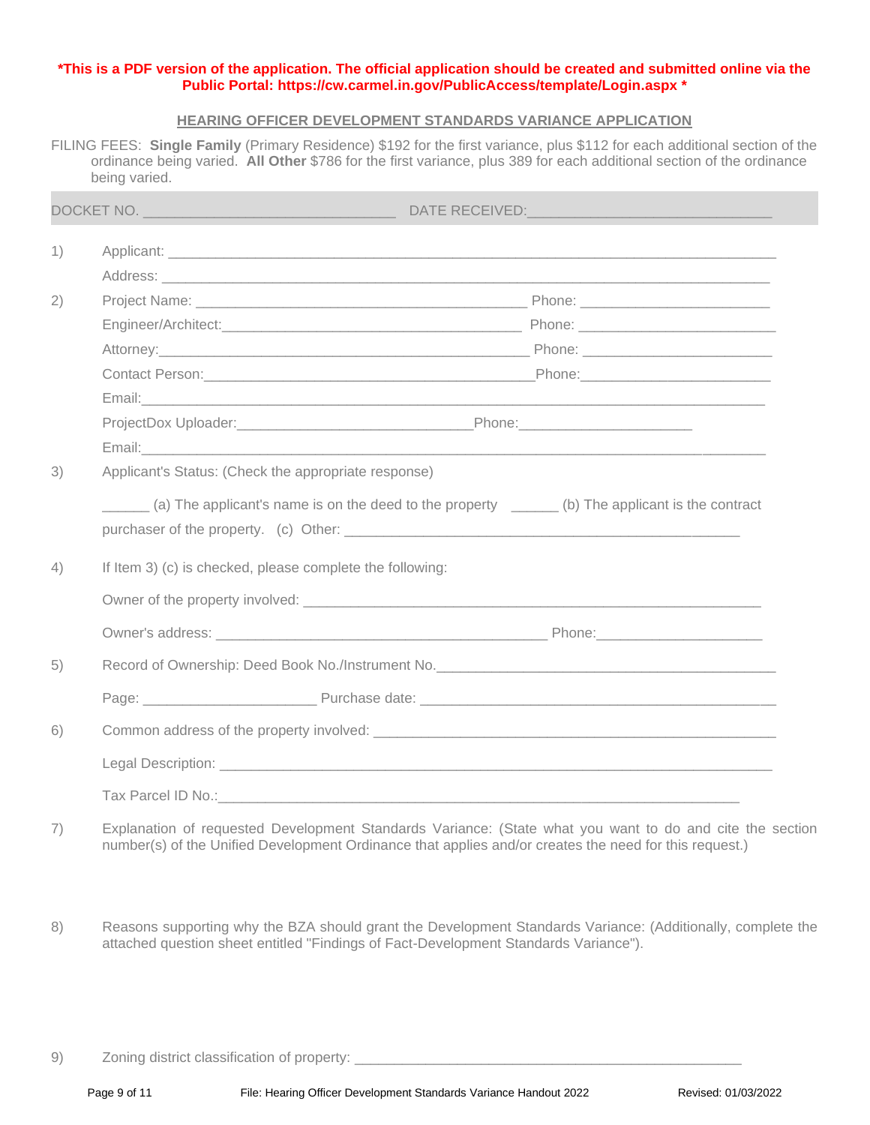#### **\*This is a PDF version of the application. The official application should be created and submitted online via the Public Portal:<https://cw.carmel.in.gov/PublicAccess/template/Login.aspx> \***

#### **HEARING OFFICER DEVELOPMENT STANDARDS VARIANCE APPLICATION**

FILING FEES: **Single Family** (Primary Residence) \$192 for the first variance, plus \$112 for each additional section of the ordinance being varied. **All Other** \$786 for the first variance, plus 389 for each additional section of the ordinance being varied.

|    |                                                                               | DATE RECEIVED: And the contract of the contract of the contract of the contract of the contract of the contract of the contract of the contract of the contract of the contract of the contract of the contract of the contrac |  |  |
|----|-------------------------------------------------------------------------------|--------------------------------------------------------------------------------------------------------------------------------------------------------------------------------------------------------------------------------|--|--|
| 1) |                                                                               |                                                                                                                                                                                                                                |  |  |
|    |                                                                               |                                                                                                                                                                                                                                |  |  |
| 2) |                                                                               | Project Name: Contract Department of the Contract of Contract Department of Phone: Contract Department of the Contract Oriental Department of the Contract Oriental Department of the Contract Oriental Department of the Cont |  |  |
|    |                                                                               |                                                                                                                                                                                                                                |  |  |
|    |                                                                               |                                                                                                                                                                                                                                |  |  |
|    |                                                                               |                                                                                                                                                                                                                                |  |  |
|    |                                                                               | Email: <u>Announce</u> Communication of the Communication of the Communication of the Communication of the Communication                                                                                                       |  |  |
|    |                                                                               | ProjectDox Uploader:______________________________Phone:________________________                                                                                                                                               |  |  |
|    |                                                                               |                                                                                                                                                                                                                                |  |  |
| 3) | Applicant's Status: (Check the appropriate response)                          |                                                                                                                                                                                                                                |  |  |
|    |                                                                               | (a) The applicant's name is on the deed to the property ______ (b) The applicant is the contract                                                                                                                               |  |  |
| 4) | If Item 3) (c) is checked, please complete the following:                     |                                                                                                                                                                                                                                |  |  |
|    | Owner of the property involved: example and the set of the property involved: |                                                                                                                                                                                                                                |  |  |
|    |                                                                               | Owner's address: Notice and the experiment of the experiment of the Phone: North Phone: North American Communication of the experiment of the experiment of the experiment of the experiment of the experiment of the experime |  |  |
| 5) |                                                                               | Record of Ownership: Deed Book No./Instrument No. <b>Container and Containers and Containers</b> and Containers and Co                                                                                                         |  |  |
|    |                                                                               | Page: Purchase date: Purchase date: Purchase date: Purchase date: Purchase date: Purchase date: Purchase date: Purchase date: Purchase date: Purchase date: Purchase date: Purchase date: Purchase date: Purchase date: Purcha |  |  |
| 6) |                                                                               |                                                                                                                                                                                                                                |  |  |
|    |                                                                               |                                                                                                                                                                                                                                |  |  |
|    |                                                                               |                                                                                                                                                                                                                                |  |  |

- 7) Explanation of requested Development Standards Variance: (State what you want to do and cite the section number(s) of the Unified Development Ordinance that applies and/or creates the need for this request.)
- 8) Reasons supporting why the BZA should grant the Development Standards Variance: (Additionally, complete the attached question sheet entitled "Findings of Fact-Development Standards Variance").

9) Zoning district classification of property: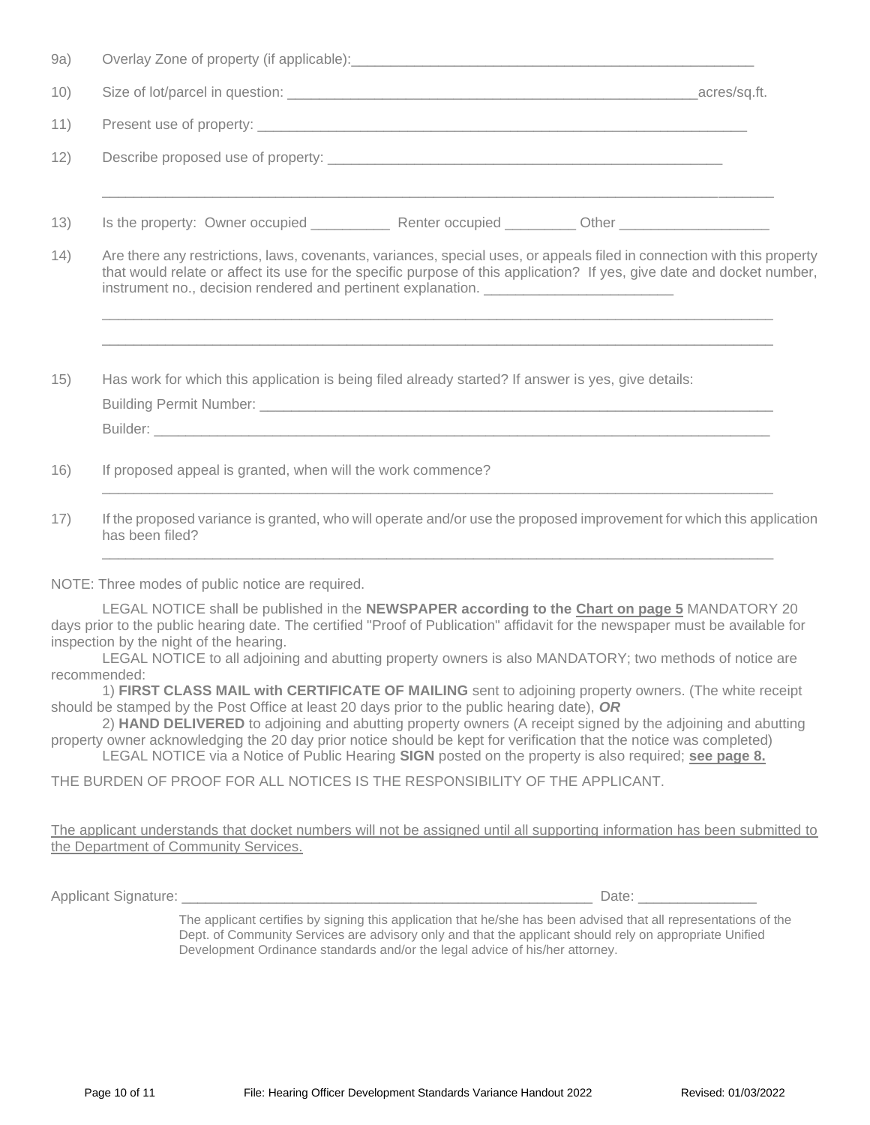| 9a)  |                                                                                                                                                                                                                                                                                                                                        |  |
|------|----------------------------------------------------------------------------------------------------------------------------------------------------------------------------------------------------------------------------------------------------------------------------------------------------------------------------------------|--|
| 10)  |                                                                                                                                                                                                                                                                                                                                        |  |
| 11)  |                                                                                                                                                                                                                                                                                                                                        |  |
| 12)  |                                                                                                                                                                                                                                                                                                                                        |  |
| 13)  |                                                                                                                                                                                                                                                                                                                                        |  |
| (14) | Are there any restrictions, laws, covenants, variances, special uses, or appeals filed in connection with this property<br>that would relate or affect its use for the specific purpose of this application? If yes, give date and docket number,<br>instrument no., decision rendered and pertinent explanation. ____________________ |  |
| 15)  | Has work for which this application is being filed already started? If answer is yes, give details:                                                                                                                                                                                                                                    |  |
| 16)  | If proposed appeal is granted, when will the work commence?                                                                                                                                                                                                                                                                            |  |
| 17)  | If the proposed variance is granted, who will operate and/or use the proposed improvement for which this application<br>has been filed?                                                                                                                                                                                                |  |
|      |                                                                                                                                                                                                                                                                                                                                        |  |

NOTE: Three modes of public notice are required.

LEGAL NOTICE shall be published in the **NEWSPAPER according to the Chart on page 5** MANDATORY 20 days prior to the public hearing date. The certified "Proof of Publication" affidavit for the newspaper must be available for inspection by the night of the hearing.

LEGAL NOTICE to all adjoining and abutting property owners is also MANDATORY; two methods of notice are recommended:

1) **FIRST CLASS MAIL with CERTIFICATE OF MAILING** sent to adjoining property owners. (The white receipt should be stamped by the Post Office at least 20 days prior to the public hearing date), *OR*

2) **HAND DELIVERED** to adjoining and abutting property owners (A receipt signed by the adjoining and abutting property owner acknowledging the 20 day prior notice should be kept for verification that the notice was completed) LEGAL NOTICE via a Notice of Public Hearing **SIGN** posted on the property is also required; **see page 8.**

THE BURDEN OF PROOF FOR ALL NOTICES IS THE RESPONSIBILITY OF THE APPLICANT.

The applicant understands that docket numbers will not be assigned until all supporting information has been submitted to the Department of Community Services.

Applicant Signature: \_\_\_\_\_\_\_\_\_\_\_\_\_\_\_\_\_\_\_\_\_\_\_\_\_\_\_\_\_\_\_\_\_\_\_\_\_\_\_\_\_\_\_\_\_\_\_\_\_\_\_\_ Date: \_\_\_\_\_\_\_\_\_\_\_\_\_\_\_

The applicant certifies by signing this application that he/she has been advised that all representations of the Dept. of Community Services are advisory only and that the applicant should rely on appropriate Unified Development Ordinance standards and/or the legal advice of his/her attorney.